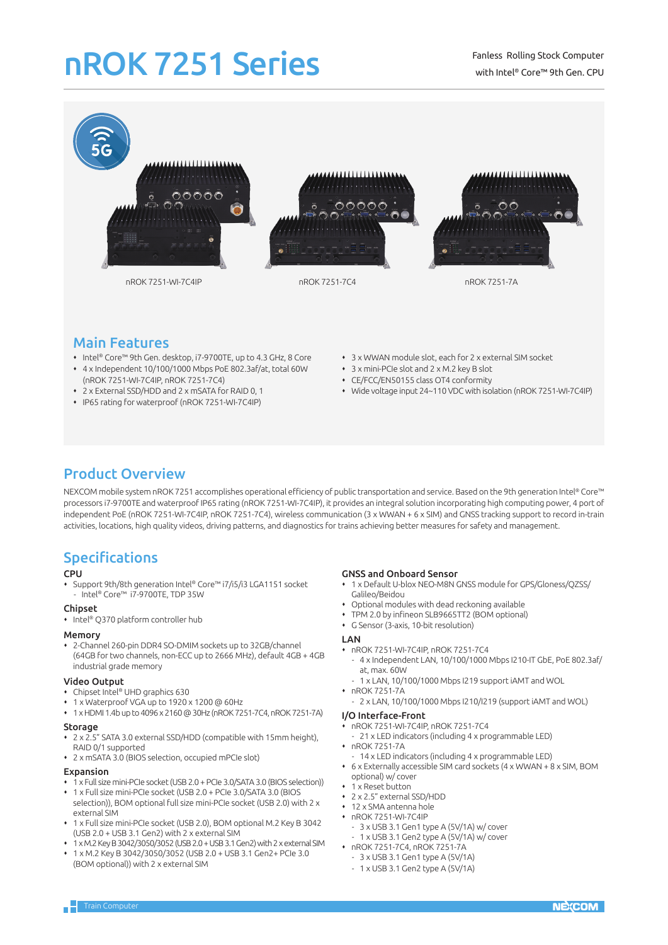# nROK 7251 Series



## Main Features

- Intel® Core™ 9th Gen. desktop, i7-9700TE, up to 4.3 GHz, 8 Core
- 4 x Independent 10/100/1000 Mbps PoE 802.3af/at, total 60W (nROK 7251-WI-7C4IP, nROK 7251-7C4)
- 2 x External SSD/HDD and 2 x mSATA for RAID 0, 1
- IP65 rating for waterproof (nROK 7251-WI-7C4IP)
- 3 x WWAN module slot, each for 2 x external SIM socket
- 3 x mini-PCIe slot and 2 x M.2 key B slot
- CE/FCC/EN50155 class OT4 conformity
- Wide voltage input 24~110 VDC with isolation (nROK 7251-WI-7C4IP)

## Product Overview

NEXCOM mobile system nROK 7251 accomplishes operational efficiency of public transportation and service. Based on the 9th generation Intel® Core™ processors i7-9700TE and waterproof IP65 rating (nROK 7251-WI-7C4IP), it provides an integral solution incorporating high computing power, 4 port of independent PoE (nROK 7251-WI-7C4IP, nROK 7251-7C4), wireless communication (3 x WWAN + 6 x SIM) and GNSS tracking support to record in-train activities, locations, high quality videos, driving patterns, and diagnostics for trains achieving better measures for safety and management.

## Specifications

### CPU

 Support 9th/8th generation Intel® Core™ i7/i5/i3 LGA1151 socket - Intel® Core™ i7-9700TE, TDP 35W

### Chipset

• Intel® Q370 platform controller hub

### Memory

 2-Channel 260-pin DDR4 SO-DMIM sockets up to 32GB/channel (64GB for two channels, non-ECC up to 2666 MHz), default 4GB + 4GB industrial grade memory

### Video Output

- Chipset Intel® UHD graphics 630
- 1 x Waterproof VGA up to 1920 x 1200 @ 60Hz
- 1 x HDMI 1.4b up to 4096 x 2160 @ 30Hz (nROK 7251-7C4, nROK 7251-7A)

### Storage

- 2 x 2.5" SATA 3.0 external SSD/HDD (compatible with 15mm height), RAID 0/1 supported
- 2 x mSATA 3.0 (BIOS selection, occupied mPCIe slot)

### Expansion

- 1 x Full size mini-PCIe socket (USB 2.0 + PCIe 3.0/SATA 3.0 (BIOS selection))
- 1 x Full size mini-PCIe socket (USB 2.0 + PCIe 3.0/SATA 3.0 (BIOS selection)), BOM optional full size mini-PCIe socket (USB 2.0) with 2 x external SIM
- 1 x Full size mini-PCIe socket (USB 2.0), BOM optional M.2 Key B 3042 (USB 2.0 + USB 3.1 Gen2) with 2 x external SIM
- 1 x M.2 Key B 3042/3050/3052 (USB 2.0 + USB 3.1 Gen2) with 2 x external SIM 1 x M.2 Key B 3042/3050/3052 (USB 2.0 + USB 3.1 Gen2+ PCIe 3.0 (BOM optional)) with 2 x external SIM

### GNSS and Onboard Sensor

- 1 x Default U-blox NEO-M8N GNSS module for GPS/Gloness/QZSS/ Galileo/Beidou
- Optional modules with dead reckoning available
- TPM 2.0 by infineon SLB9665TT2 (BOM optional)
- G Sensor (3-axis, 10-bit resolution)

### LAN

- nROK 7251-WI-7C4IP, nROK 7251-7C4 - 4 x Independent LAN, 10/100/1000 Mbps I210-IT GbE, PoE 802.3af/
- at, max. 60W
- 1 x LAN, 10/100/1000 Mbps I219 support iAMT and WOL
- nROK 7251-7A
	- 2 x LAN, 10/100/1000 Mbps I210/I219 (support iAMT and WOL)

### I/O Interface-Front

- nROK 7251-WI-7C4IP, nROK 7251-7C4 21 x LED indicators (including 4 x programmable LED)
- nROK 7251-7A
- 14 x LED indicators (including 4 x programmable LED)
- 6 x Externally accessible SIM card sockets (4 x WWAN + 8 x SIM, BOM optional) w/ cover
- 1 x Reset button
- 2 x 2.5" external SSD/HDD
- 12 x SMA antenna hole
- nROK 7251-WI-7C4IP
	- 3 x USB 3.1 Gen1 type A (5V/1A) w/ cover
	- 1 x USB 3.1 Gen2 type A (5V/1A) w/ cover
- nROK 7251-7C4, nROK 7251-7A
- 3 x USB 3.1 Gen1 type A (5V/1A)
- 1 x USB 3.1 Gen2 type A (5V/1A)